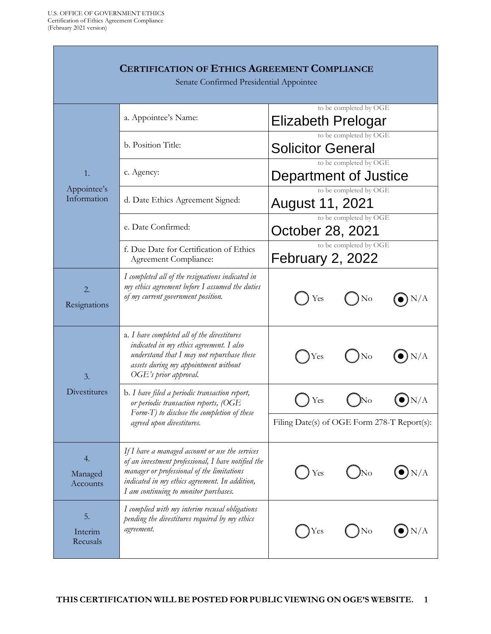| <b>CERTIFICATION OF ETHICS AGREEMENT COMPLIANCE</b><br>Senate Confirmed Presidential Appointee |                                                                                                                                                                                                                                                |                                                    |  |  |  |  |  |
|------------------------------------------------------------------------------------------------|------------------------------------------------------------------------------------------------------------------------------------------------------------------------------------------------------------------------------------------------|----------------------------------------------------|--|--|--|--|--|
| 1.<br>Appointee's<br>Information                                                               | to be completed by OGE<br>a. Appointee's Name:<br><b>Elizabeth Prelogar</b>                                                                                                                                                                    |                                                    |  |  |  |  |  |
|                                                                                                | b. Position Title:                                                                                                                                                                                                                             | to be completed by OGE<br><b>Solicitor General</b> |  |  |  |  |  |
|                                                                                                | c. Agency:                                                                                                                                                                                                                                     | to be completed by OGE<br>Department of Justice    |  |  |  |  |  |
|                                                                                                | d. Date Ethics Agreement Signed:                                                                                                                                                                                                               | to be completed by OGE<br>August 11, 2021          |  |  |  |  |  |
|                                                                                                | e. Date Confirmed:                                                                                                                                                                                                                             | to be completed by OGE<br>October 28, 2021         |  |  |  |  |  |
|                                                                                                | f. Due Date for Certification of Ethics<br>Agreement Compliance:                                                                                                                                                                               | to be completed by OGE<br><b>February 2, 2022</b>  |  |  |  |  |  |
| 2.<br>Resignations                                                                             | I completed all of the resignations indicated in<br>my ethics agreement before I assumed the duties<br>of my current government position.                                                                                                      | Yes<br>No                                          |  |  |  |  |  |
| 3.<br>Divestitures                                                                             | a. I have completed all of the divestitures<br>indicated in my ethics agreement. I also<br>understand that $I$ may not repurchase these<br>assets during my appointment without<br>OGE's prior approval.                                       | N/A<br>$\rm No$<br>Yes                             |  |  |  |  |  |
|                                                                                                | b. I have filed a periodic transaction report,<br>or periodic transaction reports, (OGE                                                                                                                                                        | Yes                                                |  |  |  |  |  |
|                                                                                                | Form-T) to disclose the completion of these<br>agreed upon divestitures.                                                                                                                                                                       | Filing Date(s) of OGE Form 278-T Report(s):        |  |  |  |  |  |
| 4.<br>Managed<br>Accounts                                                                      | If I have a managed account or use the services<br>of an investment professional, I have notified the<br>manager or professional of the limitations<br>indicated in my ethics agreement. In addition,<br>I am continuing to monitor purchases. | N/A<br>Yes<br>No                                   |  |  |  |  |  |
| 5.<br>Interim<br>Recusals                                                                      | I complied with my interim recusal obligations<br>pending the divestitures required by my ethics<br>agreement.                                                                                                                                 | Yes<br>No                                          |  |  |  |  |  |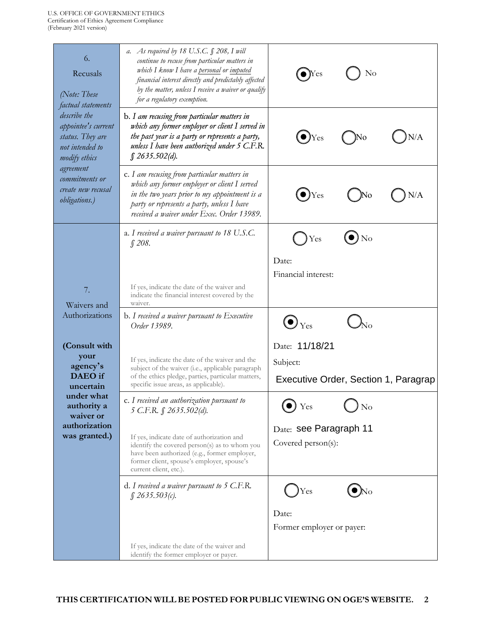| 6.<br>Recusals<br>(Note: These<br>factual statements<br>describe the<br>appointee's current<br>status. They are<br>not intended to<br>modify ethics<br>agreement<br>commitments or<br>create new recusal<br>obligations.) | a. As required by 18 U.S.C. § 208, I will<br>continue to recuse from particular matters in<br>which I know I have a personal or imputed<br>financial interest directly and predictably affected<br>by the matter, unless I receive a waiver or qualify<br>for a regulatory exemption.<br>b. I am recusing from particular matters in | $\bigodot$ Yes                                                     | $\rm No$              |      |
|---------------------------------------------------------------------------------------------------------------------------------------------------------------------------------------------------------------------------|--------------------------------------------------------------------------------------------------------------------------------------------------------------------------------------------------------------------------------------------------------------------------------------------------------------------------------------|--------------------------------------------------------------------|-----------------------|------|
|                                                                                                                                                                                                                           | which any former employer or client $I$ served in<br>the past year is a party or represents a party,<br>unless I have been authorized under 5 C.F.R.<br>\$2635.502(d).                                                                                                                                                               | $\left( \bullet \right)$ Yes                                       |                       | )N/A |
|                                                                                                                                                                                                                           | c. I am recusing from particular matters in<br>which any former employer or client I served<br>in the two years prior to my appointment is a<br>party or represents a party, unless I have<br>received a waiver under Exec. Order 13989.                                                                                             | ( $\bullet$ )Yes                                                   |                       | N/A  |
|                                                                                                                                                                                                                           | a. I received a waiver pursuant to 18 U.S.C.<br>$\int$ 208.                                                                                                                                                                                                                                                                          | Yes                                                                | ( $\bullet)_{\rm No}$ |      |
| 7.<br>Waivers and<br>Authorizations<br>(Consult with<br>your<br>agency's<br><b>DAEO</b> if<br>uncertain<br>under what<br>authority a<br>waiver or<br>authorization<br>was granted.)                                       | If yes, indicate the date of the waiver and<br>indicate the financial interest covered by the<br>waiver.                                                                                                                                                                                                                             | Date:<br>Financial interest:                                       |                       |      |
|                                                                                                                                                                                                                           | b. I received a waiver pursuant to Executive<br>Order 13989.                                                                                                                                                                                                                                                                         | $\bigodot_{\text{Yes}}$                                            |                       |      |
|                                                                                                                                                                                                                           | If yes, indicate the date of the waiver and the<br>subject of the waiver (i.e., applicable paragraph<br>of the ethics pledge, parties, particular matters,<br>specific issue areas, as applicable).                                                                                                                                  | Date: 11/18/21<br>Subject:<br>Executive Order, Section 1, Paragrap |                       |      |
|                                                                                                                                                                                                                           | c. I received an authorization pursuant to<br>5 C.F.R. $\int$ 2635.502(d).                                                                                                                                                                                                                                                           | $\bigodot$ Yes                                                     | $\bigcup$ No          |      |
|                                                                                                                                                                                                                           | If yes, indicate date of authorization and<br>identify the covered person(s) as to whom you<br>have been authorized (e.g., former employer,<br>former client, spouse's employer, spouse's<br>current client, etc.).                                                                                                                  | Date: see Paragraph 11<br>Covered person(s):                       |                       |      |
|                                                                                                                                                                                                                           | $d.$ I received a waiver pursuant to 5 C.F.R.<br>$\int$ 2635.503(c).                                                                                                                                                                                                                                                                 | $\sum$ Yes                                                         | $\odot$ No            |      |
|                                                                                                                                                                                                                           |                                                                                                                                                                                                                                                                                                                                      | Date:<br>Former employer or payer:                                 |                       |      |
|                                                                                                                                                                                                                           | If yes, indicate the date of the waiver and<br>identify the former employer or payer.                                                                                                                                                                                                                                                |                                                                    |                       |      |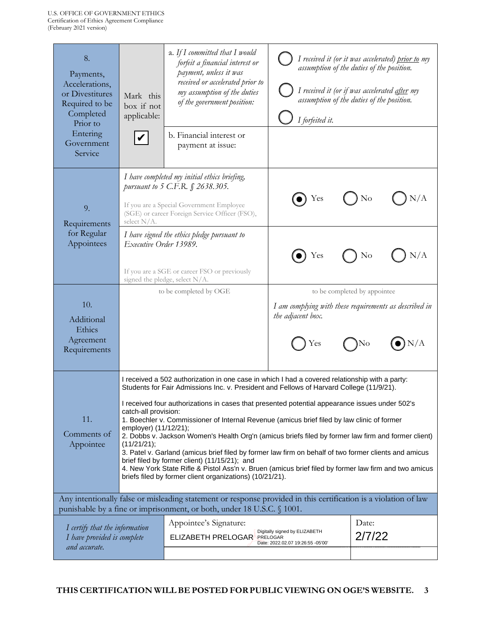| 8.<br>Payments,<br>Accelerations,<br>or Divestitures<br>Required to be<br>Completed<br>Prior to<br>Entering<br>Government<br>Service | Mark this<br>box if not<br>applicable:<br>V                                                                                                                                                                                                                                                                                                                                                                                                                                                                                                                                                                                                                                                                                                                                                                                                                                                       | a. If I committed that I would<br>forfeit a financial interest or<br>payment, unless it was<br>received or accelerated prior to<br>my assumption of the duties<br>of the government position:<br>b. Financial interest or<br>payment at issue: | I forfeited it.          | I received it (or it was accelerated) prior to my<br>assumption of the duties of the position.<br>I received it (or if was accelerated <u>after</u> my<br>assumption of the duties of the position. |  |  |  |
|--------------------------------------------------------------------------------------------------------------------------------------|---------------------------------------------------------------------------------------------------------------------------------------------------------------------------------------------------------------------------------------------------------------------------------------------------------------------------------------------------------------------------------------------------------------------------------------------------------------------------------------------------------------------------------------------------------------------------------------------------------------------------------------------------------------------------------------------------------------------------------------------------------------------------------------------------------------------------------------------------------------------------------------------------|------------------------------------------------------------------------------------------------------------------------------------------------------------------------------------------------------------------------------------------------|--------------------------|-----------------------------------------------------------------------------------------------------------------------------------------------------------------------------------------------------|--|--|--|
| 9.<br>Requirements                                                                                                                   | select $N/A$ .                                                                                                                                                                                                                                                                                                                                                                                                                                                                                                                                                                                                                                                                                                                                                                                                                                                                                    | I have completed my initial ethics briefing,<br>pursuant to 5 C.F.R. § 2638.305.<br>If you are a Special Government Employee<br>(SGE) or career Foreign Service Officer (FSO),                                                                 | Yes                      | N/A<br>No                                                                                                                                                                                           |  |  |  |
| for Regular<br>Appointees                                                                                                            | Executive Order 13989.                                                                                                                                                                                                                                                                                                                                                                                                                                                                                                                                                                                                                                                                                                                                                                                                                                                                            | I have signed the ethics pledge pursuant to<br>If you are a SGE or career FSO or previously<br>signed the pledge, select N/A.                                                                                                                  | Yes                      | N/A<br>No                                                                                                                                                                                           |  |  |  |
| 10.<br>Additional<br>Ethics<br>Agreement<br>Requirements                                                                             |                                                                                                                                                                                                                                                                                                                                                                                                                                                                                                                                                                                                                                                                                                                                                                                                                                                                                                   | to be completed by OGE                                                                                                                                                                                                                         | the adjacent box.<br>Yes | to be completed by appointee<br>I am complying with these requirements as described in<br>N/A<br>No                                                                                                 |  |  |  |
| 11.<br>Comments of<br>Appointee                                                                                                      | I received a 502 authorization in one case in which I had a covered relationship with a party:<br>Students for Fair Admissions Inc. v. President and Fellows of Harvard College (11/9/21).<br>I received four authorizations in cases that presented potential appearance issues under 502's<br>catch-all provision:<br>1. Boechler v. Commissioner of Internal Revenue (amicus brief filed by law clinic of former<br>employer) (11/12/21);<br>2. Dobbs v. Jackson Women's Health Org'n (amicus briefs filed by former law firm and former client)<br>(11/21/21);<br>3. Patel v. Garland (amicus brief filed by former law firm on behalf of two former clients and amicus<br>brief filed by former client) (11/15/21); and<br>4. New York State Rifle & Pistol Ass'n v. Bruen (amicus brief filed by former law firm and two amicus<br>briefs filed by former client organizations) (10/21/21). |                                                                                                                                                                                                                                                |                          |                                                                                                                                                                                                     |  |  |  |
|                                                                                                                                      | Any intentionally false or misleading statement or response provided in this certification is a violation of law<br>punishable by a fine or imprisonment, or both, under 18 U.S.C. § 1001.                                                                                                                                                                                                                                                                                                                                                                                                                                                                                                                                                                                                                                                                                                        |                                                                                                                                                                                                                                                |                          |                                                                                                                                                                                                     |  |  |  |
| I certify that the information<br>I have provided is complete<br>and accurate.                                                       |                                                                                                                                                                                                                                                                                                                                                                                                                                                                                                                                                                                                                                                                                                                                                                                                                                                                                                   | Appointee's Signature:<br>Digitally signed by ELIZABETH<br><b>ELIZABETH PRELOGAR PRELÓGAR</b><br>Date: 2022.02.07 19:26:55 -05'00'                                                                                                             | Date:<br>2/7/22          |                                                                                                                                                                                                     |  |  |  |